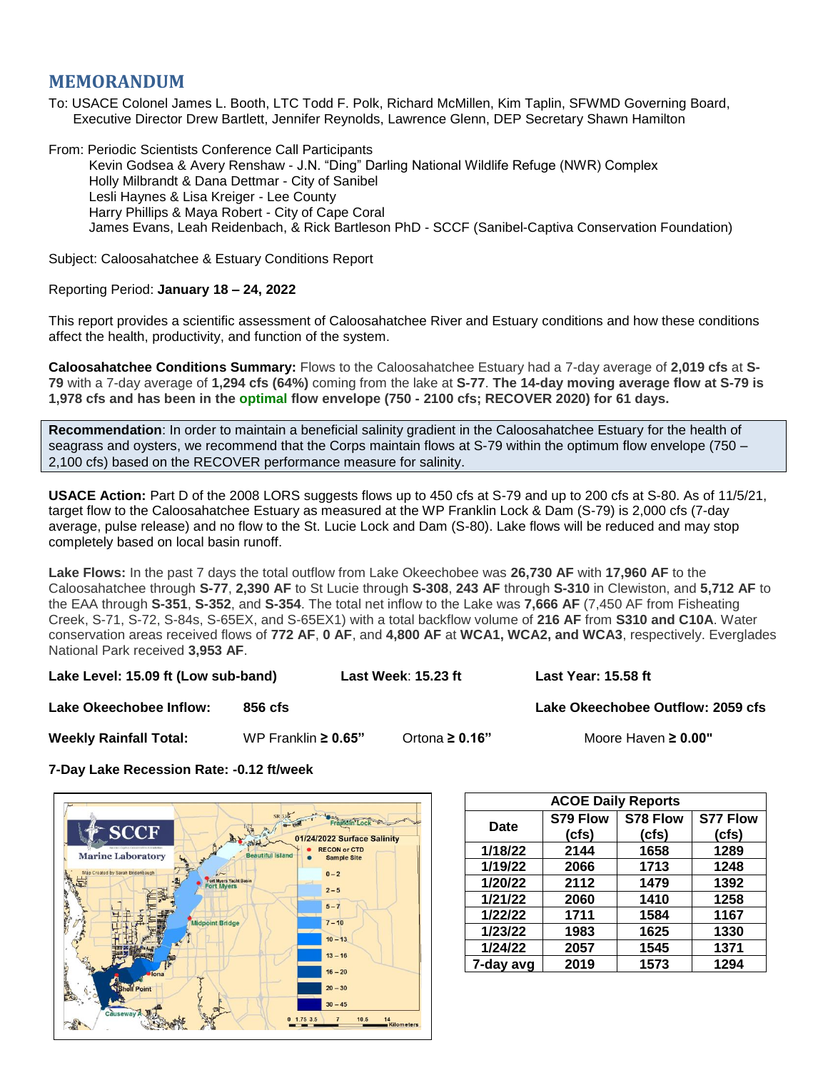## **MEMORANDUM**

To: USACE Colonel James L. Booth, LTC Todd F. Polk, Richard McMillen, Kim Taplin, SFWMD Governing Board, Executive Director Drew Bartlett, Jennifer Reynolds, Lawrence Glenn, DEP Secretary Shawn Hamilton

From: Periodic Scientists Conference Call Participants Kevin Godsea & Avery Renshaw - J.N. "Ding" Darling National Wildlife Refuge (NWR) Complex Holly Milbrandt & Dana Dettmar - City of Sanibel Lesli Haynes & Lisa Kreiger - Lee County Harry Phillips & Maya Robert - City of Cape Coral James Evans, Leah Reidenbach, & Rick Bartleson PhD - SCCF (Sanibel-Captiva Conservation Foundation)

Subject: Caloosahatchee & Estuary Conditions Report

## Reporting Period: **January 18 – 24, 2022**

This report provides a scientific assessment of Caloosahatchee River and Estuary conditions and how these conditions affect the health, productivity, and function of the system.

**Caloosahatchee Conditions Summary:** Flows to the Caloosahatchee Estuary had a 7-day average of **2,019 cfs** at **S-79** with a 7-day average of **1,294 cfs (64%)** coming from the lake at **S-77**. **The 14-day moving average flow at S-79 is 1,978 cfs and has been in the optimal flow envelope (750 - 2100 cfs; RECOVER 2020) for 61 days.**

**Recommendation**: In order to maintain a beneficial salinity gradient in the Caloosahatchee Estuary for the health of seagrass and oysters, we recommend that the Corps maintain flows at S-79 within the optimum flow envelope (750 – 2,100 cfs) based on the RECOVER performance measure for salinity.

**USACE Action:** Part D of the 2008 LORS suggests flows up to 450 cfs at S-79 and up to 200 cfs at S-80. As of 11/5/21, target flow to the Caloosahatchee Estuary as measured at the WP Franklin Lock & Dam (S-79) is 2,000 cfs (7-day average, pulse release) and no flow to the St. Lucie Lock and Dam (S-80). Lake flows will be reduced and may stop completely based on local basin runoff.

**Lake Flows:** In the past 7 days the total outflow from Lake Okeechobee was **26,730 AF** with **17,960 AF** to the Caloosahatchee through **S-77**, **2,390 AF** to St Lucie through **S-308**, **243 AF** through **S-310** in Clewiston, and **5,712 AF** to the EAA through **S-351**, **S-352**, and **S-354**. The total net inflow to the Lake was **7,666 AF** (7,450 AF from Fisheating Creek, S-71, S-72, S-84s, S-65EX, and S-65EX1) with a total backflow volume of **216 AF** from **S310 and C10A**. Water conservation areas received flows of **772 AF**, **0 AF**, and **4,800 AF** at **WCA1, WCA2, and WCA3**, respectively. Everglades National Park received **3,953 AF**.

**Lake Level: 15.09 ft (Low sub-band) Last Week**: **15.23 ft Last Year: 15.58 ft**

**Lake Okeechobee Inflow: 856 cfs Lake Okeechobee Outflow: 2059 cfs**

**Weekly Rainfall Total:** WP Franklin **≥ 0.65"** Ortona **≥ 0.16"** Moore Haven **≥ 0.00"**

**7-Day Lake Recession Rate: -0.12 ft/week**



| <b>ACOE Daily Reports</b> |          |          |                 |  |  |  |
|---------------------------|----------|----------|-----------------|--|--|--|
| Date                      | S79 Flow | S78 Flow | <b>S77 Flow</b> |  |  |  |
|                           | (cfs)    | (cfs)    | (cfs)           |  |  |  |
| 1/18/22                   | 2144     | 1658     | 1289            |  |  |  |
| 1/19/22                   | 2066     | 1713     | 1248            |  |  |  |
| 1/20/22                   | 2112     | 1479     | 1392            |  |  |  |
| 1/21/22                   | 2060     | 1410     | 1258            |  |  |  |
| 1/22/22                   | 1711     | 1584     | 1167            |  |  |  |
| 1/23/22                   | 1983     | 1625     | 1330            |  |  |  |
| 1/24/22                   | 2057     | 1545     | 1371            |  |  |  |
| 7-day avg                 | 2019     | 1573     | 1294            |  |  |  |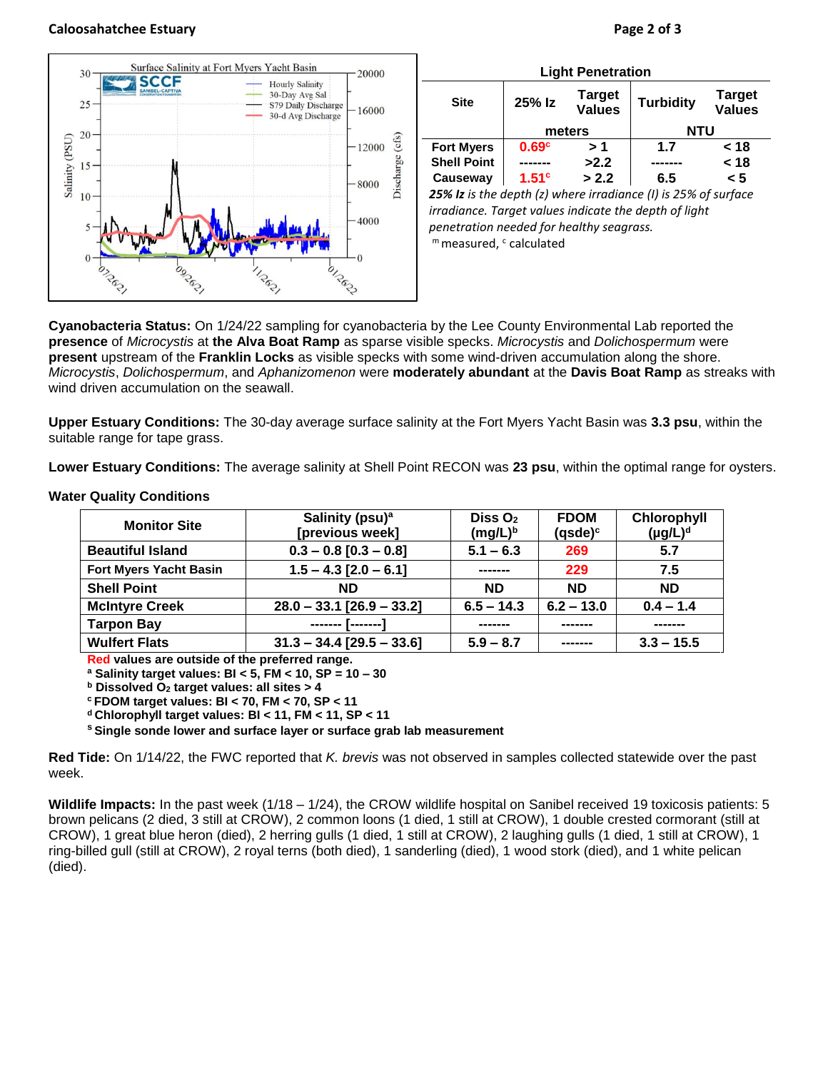## **Caloosahatchee Estuary Page 2 of 3**



| <b>Light Penetration</b>                                       |                   |                                |                  |                                |  |  |  |
|----------------------------------------------------------------|-------------------|--------------------------------|------------------|--------------------------------|--|--|--|
| <b>Site</b>                                                    | 25% Iz            | <b>Target</b><br><b>Values</b> | <b>Turbidity</b> | <b>Target</b><br><b>Values</b> |  |  |  |
|                                                                | meters            |                                | <b>NTU</b>       |                                |  |  |  |
| <b>Fort Myers</b>                                              | 0.69 <sup>c</sup> | >1                             | 1.7              | < 18                           |  |  |  |
| <b>Shell Point</b>                                             |                   | >2.2                           |                  | < 18                           |  |  |  |
| Causeway                                                       | 1.51 <sup>c</sup> | > 2.2                          | 6.5              | $\leq 5$                       |  |  |  |
| 25% Iz is the depth (z) where irradiance (I) is 25% of surface |                   |                                |                  |                                |  |  |  |

*irradiance. Target values indicate the depth of light penetration needed for healthy seagrass.* m measured, c calculated

**Cyanobacteria Status:** On 1/24/22 sampling for cyanobacteria by the Lee County Environmental Lab reported the **presence** of *Microcystis* at **the Alva Boat Ramp** as sparse visible specks. *Microcystis* and *Dolichospermum* were **present** upstream of the **Franklin Locks** as visible specks with some wind-driven accumulation along the shore. *Microcystis*, *Dolichospermum*, and *Aphanizomenon* were **moderately abundant** at the **Davis Boat Ramp** as streaks with wind driven accumulation on the seawall.

**Upper Estuary Conditions:** The 30-day average surface salinity at the Fort Myers Yacht Basin was **3.3 psu**, within the suitable range for tape grass.

**Lower Estuary Conditions:** The average salinity at Shell Point RECON was **23 psu**, within the optimal range for oysters.

| <b>Monitor Site</b>           | Salinity (psu) <sup>a</sup><br>Diss $O2$<br>$(mg/L)^b$<br>[previous week] |              | <b>FDOM</b><br>$(gsde)^c$ | Chlorophyll<br>$(\mu g/L)^d$ |
|-------------------------------|---------------------------------------------------------------------------|--------------|---------------------------|------------------------------|
| <b>Beautiful Island</b>       | $0.3 - 0.8$ [0.3 - 0.8]                                                   | $5.1 - 6.3$  | 269                       | 5.7                          |
| <b>Fort Myers Yacht Basin</b> | $1.5 - 4.3$ [2.0 - 6.1]                                                   | -------      | 229                       | 7.5                          |
| <b>Shell Point</b>            | <b>ND</b>                                                                 | <b>ND</b>    | <b>ND</b>                 | <b>ND</b>                    |
| <b>McIntyre Creek</b>         | $28.0 - 33.1$ [26.9 - 33.2]                                               | $6.5 - 14.3$ | $6.2 - 13.0$              | $0.4 - 1.4$                  |
| <b>Tarpon Bay</b>             | <u>------- [-------</u>                                                   |              |                           |                              |
| <b>Wulfert Flats</b>          | $31.3 - 34.4$ [29.5 - 33.6]                                               | $5.9 - 8.7$  |                           | $3.3 - 15.5$                 |

## **Water Quality Conditions**

**Red values are outside of the preferred range.**

**<sup>a</sup> Salinity target values: BI < 5, FM < 10, SP = 10 – 30**

**<sup>b</sup> Dissolved O<sup>2</sup> target values: all sites > 4**

**<sup>c</sup> FDOM target values: BI < 70, FM < 70, SP < 11**

**<sup>d</sup> Chlorophyll target values: BI < 11, FM < 11, SP < 11** 

**<sup>s</sup> Single sonde lower and surface layer or surface grab lab measurement**

**Red Tide:** On 1/14/22, the FWC reported that *K. brevis* was not observed in samples collected statewide over the past week.

**Wildlife Impacts:** In the past week (1/18 – 1/24), the CROW wildlife hospital on Sanibel received 19 toxicosis patients: 5 brown pelicans (2 died, 3 still at CROW), 2 common loons (1 died, 1 still at CROW), 1 double crested cormorant (still at CROW), 1 great blue heron (died), 2 herring gulls (1 died, 1 still at CROW), 2 laughing gulls (1 died, 1 still at CROW), 1 ring-billed gull (still at CROW), 2 royal terns (both died), 1 sanderling (died), 1 wood stork (died), and 1 white pelican (died).